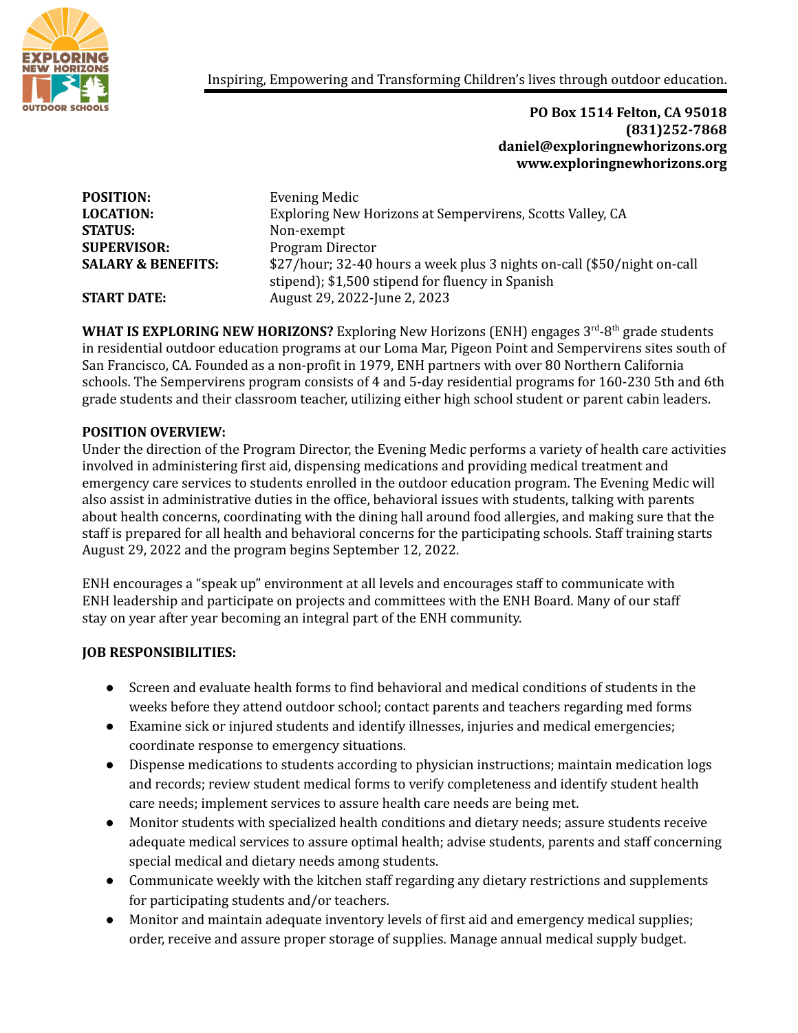

Inspiring, Empowering and Transforming Children's lives through outdoor education.

**PO Box 1514 Felton, CA 95018 (831)252-7868 daniel@exploringnewhorizons.org www.exploringnewhorizons.org**

| \$27/hour; 32-40 hours a week plus 3 nights on-call (\$50/night on-call |
|-------------------------------------------------------------------------|
|                                                                         |
|                                                                         |
|                                                                         |

WHAT IS EXPLORING NEW HORIZONS? Exploring New Horizons (ENH) engages 3<sup>rd</sup>-8<sup>th</sup> grade students in residential outdoor education programs at our Loma Mar, Pigeon Point and Sempervirens sites south of San Francisco, CA. Founded as a non-profit in 1979, ENH partners with over 80 Northern California schools. The Sempervirens program consists of 4 and 5-day residential programs for 160-230 5th and 6th grade students and their classroom teacher, utilizing either high school student or parent cabin leaders.

## **POSITION OVERVIEW:**

Under the direction of the Program Director, the Evening Medic performs a variety of health care activities involved in administering first aid, dispensing medications and providing medical treatment and emergency care services to students enrolled in the outdoor education program. The Evening Medic will also assist in administrative duties in the office, behavioral issues with students, talking with parents about health concerns, coordinating with the dining hall around food allergies, and making sure that the staff is prepared for all health and behavioral concerns for the participating schools. Staff training starts August 29, 2022 and the program begins September 12, 2022.

ENH encourages a "speak up" environment at all levels and encourages staff to communicate with ENH leadership and participate on projects and committees with the ENH Board. Many of our staff stay on year after year becoming an integral part of the ENH community.

## **JOB RESPONSIBILITIES:**

- Screen and evaluate health forms to find behavioral and medical conditions of students in the weeks before they attend outdoor school; contact parents and teachers regarding med forms
- Examine sick or injured students and identify illnesses, injuries and medical emergencies; coordinate response to emergency situations.
- Dispense medications to students according to physician instructions; maintain medication logs and records; review student medical forms to verify completeness and identify student health care needs; implement services to assure health care needs are being met.
- Monitor students with specialized health conditions and dietary needs; assure students receive adequate medical services to assure optimal health; advise students, parents and staff concerning special medical and dietary needs among students.
- Communicate weekly with the kitchen staff regarding any dietary restrictions and supplements for participating students and/or teachers.
- Monitor and maintain adequate inventory levels of first aid and emergency medical supplies; order, receive and assure proper storage of supplies. Manage annual medical supply budget.